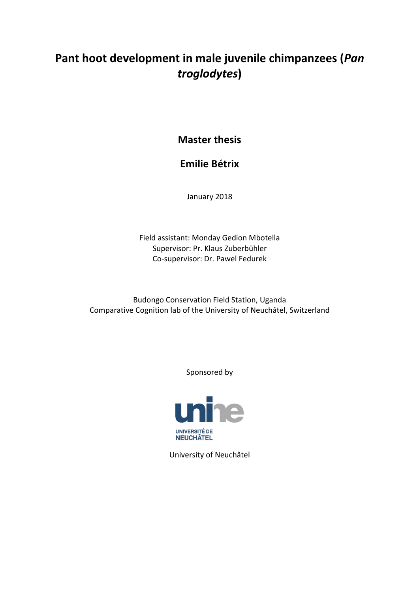# Pant hoot development in male juvenile chimpanzees (*Pan troglodytes***)**

**Master thesis** 

## **Emilie Bétrix**

January 2018

Field assistant: Monday Gedion Mbotella Supervisor: Pr. Klaus Zuberbühler Co-supervisor: Dr. Pawel Fedurek

Budongo Conservation Field Station, Uganda Comparative Cognition lab of the University of Neuchâtel, Switzerland

Sponsored by



University of Neuchâtel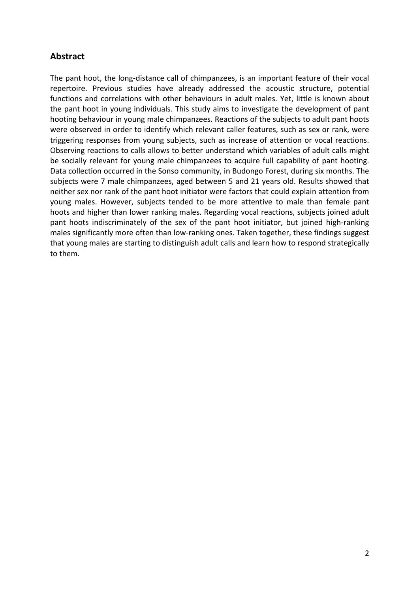## **Abstract**

The pant hoot, the long-distance call of chimpanzees, is an important feature of their vocal repertoire. Previous studies have already addressed the acoustic structure, potential functions and correlations with other behaviours in adult males. Yet, little is known about the pant hoot in young individuals. This study aims to investigate the development of pant hooting behaviour in young male chimpanzees. Reactions of the subjects to adult pant hoots were observed in order to identify which relevant caller features, such as sex or rank, were triggering responses from young subjects, such as increase of attention or vocal reactions. Observing reactions to calls allows to better understand which variables of adult calls might be socially relevant for young male chimpanzees to acquire full capability of pant hooting. Data collection occurred in the Sonso community, in Budongo Forest, during six months. The subjects were 7 male chimpanzees, aged between 5 and 21 years old. Results showed that neither sex nor rank of the pant hoot initiator were factors that could explain attention from young males. However, subjects tended to be more attentive to male than female pant hoots and higher than lower ranking males. Regarding vocal reactions, subjects joined adult pant hoots indiscriminately of the sex of the pant hoot initiator, but joined high-ranking males significantly more often than low-ranking ones. Taken together, these findings suggest that young males are starting to distinguish adult calls and learn how to respond strategically to them.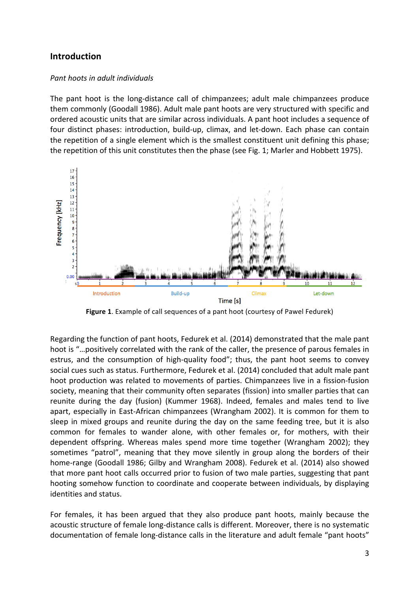## **Introduction**

#### *Pant hoots in adult individuals*

The pant hoot is the long-distance call of chimpanzees; adult male chimpanzees produce them commonly (Goodall 1986). Adult male pant hoots are very structured with specific and ordered acoustic units that are similar across individuals. A pant hoot includes a sequence of four distinct phases: introduction, build-up, climax, and let-down. Each phase can contain the repetition of a single element which is the smallest constituent unit defining this phase; the repetition of this unit constitutes then the phase (see Fig. 1; Marler and Hobbett 1975).



Figure 1. Example of call sequences of a pant hoot (courtesy of Pawel Fedurek)

Regarding the function of pant hoots, Fedurek et al. (2014) demonstrated that the male pant hoot is "...positively correlated with the rank of the caller, the presence of parous females in estrus, and the consumption of high-quality food"; thus, the pant hoot seems to convey social cues such as status. Furthermore, Fedurek et al. (2014) concluded that adult male pant hoot production was related to movements of parties. Chimpanzees live in a fission-fusion society, meaning that their community often separates (fission) into smaller parties that can reunite during the day (fusion) (Kummer 1968). Indeed, females and males tend to live apart, especially in East-African chimpanzees (Wrangham 2002). It is common for them to sleep in mixed groups and reunite during the day on the same feeding tree, but it is also common for females to wander alone, with other females or, for mothers, with their dependent offspring. Whereas males spend more time together (Wrangham 2002); they sometimes "patrol", meaning that they move silently in group along the borders of their home-range (Goodall 1986; Gilby and Wrangham 2008). Fedurek et al. (2014) also showed that more pant hoot calls occurred prior to fusion of two male parties, suggesting that pant hooting somehow function to coordinate and cooperate between individuals, by displaying identities and status.

For females, it has been argued that they also produce pant hoots, mainly because the acoustic structure of female long-distance calls is different. Moreover, there is no systematic documentation of female long-distance calls in the literature and adult female "pant hoots"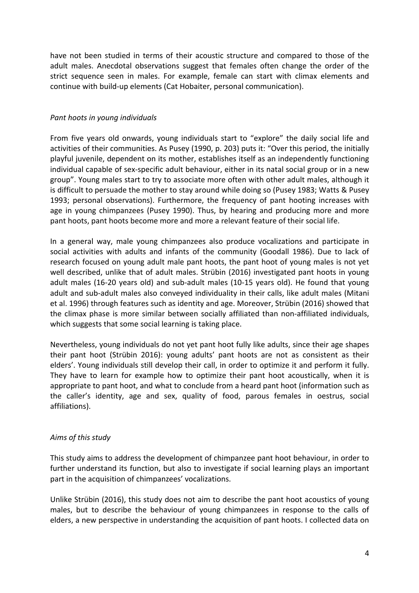have not been studied in terms of their acoustic structure and compared to those of the adult males. Anecdotal observations suggest that females often change the order of the strict sequence seen in males. For example, female can start with climax elements and continue with build-up elements (Cat Hobaiter, personal communication).

#### *Pant hoots in young individuals*

From five years old onwards, young individuals start to "explore" the daily social life and activities of their communities. As Pusey (1990, p. 203) puts it: "Over this period, the initially playful juvenile, dependent on its mother, establishes itself as an independently functioning individual capable of sex-specific adult behaviour, either in its natal social group or in a new group". Young males start to try to associate more often with other adult males, although it is difficult to persuade the mother to stay around while doing so (Pusey 1983; Watts & Pusey 1993; personal observations). Furthermore, the frequency of pant hooting increases with age in young chimpanzees (Pusey 1990). Thus, by hearing and producing more and more pant hoots, pant hoots become more and more a relevant feature of their social life.

In a general way, male young chimpanzees also produce vocalizations and participate in social activities with adults and infants of the community (Goodall 1986). Due to lack of research focused on young adult male pant hoots, the pant hoot of young males is not yet well described, unlike that of adult males. Strübin (2016) investigated pant hoots in young adult males (16-20 years old) and sub-adult males (10-15 years old). He found that young adult and sub-adult males also conveyed individuality in their calls, like adult males (Mitani et al. 1996) through features such as identity and age. Moreover, Strübin (2016) showed that the climax phase is more similar between socially affiliated than non-affiliated individuals, which suggests that some social learning is taking place.

Nevertheless, young individuals do not yet pant hoot fully like adults, since their age shapes their pant hoot (Strübin 2016): young adults' pant hoots are not as consistent as their elders'. Young individuals still develop their call, in order to optimize it and perform it fully. They have to learn for example how to optimize their pant hoot acoustically, when it is appropriate to pant hoot, and what to conclude from a heard pant hoot (information such as the caller's identity, age and sex, quality of food, parous females in oestrus, social affiliations). 

## Aims of this study

This study aims to address the development of chimpanzee pant hoot behaviour, in order to further understand its function, but also to investigate if social learning plays an important part in the acquisition of chimpanzees' vocalizations.

Unlike Strübin (2016), this study does not aim to describe the pant hoot acoustics of young males, but to describe the behaviour of young chimpanzees in response to the calls of elders, a new perspective in understanding the acquisition of pant hoots. I collected data on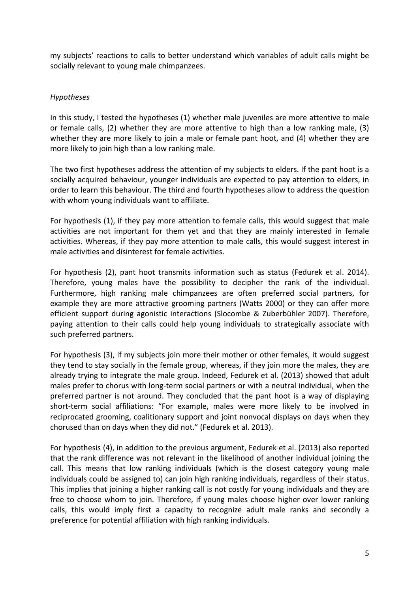my subjects' reactions to calls to better understand which variables of adult calls might be socially relevant to young male chimpanzees.

#### *Hypotheses*

In this study, I tested the hypotheses  $(1)$  whether male juveniles are more attentive to male or female calls,  $(2)$  whether they are more attentive to high than a low ranking male,  $(3)$ whether they are more likely to join a male or female pant hoot, and  $(4)$  whether they are more likely to join high than a low ranking male.

The two first hypotheses address the attention of my subjects to elders. If the pant hoot is a socially acquired behaviour, younger individuals are expected to pay attention to elders, in order to learn this behaviour. The third and fourth hypotheses allow to address the question with whom young individuals want to affiliate.

For hypothesis (1), if they pay more attention to female calls, this would suggest that male activities are not important for them yet and that they are mainly interested in female activities. Whereas, if they pay more attention to male calls, this would suggest interest in male activities and disinterest for female activities.

For hypothesis (2), pant hoot transmits information such as status (Fedurek et al. 2014). Therefore, young males have the possibility to decipher the rank of the individual. Furthermore, high ranking male chimpanzees are often preferred social partners, for example they are more attractive grooming partners (Watts 2000) or they can offer more efficient support during agonistic interactions (Slocombe & Zuberbühler 2007). Therefore, paying attention to their calls could help young individuals to strategically associate with such preferred partners.

For hypothesis (3), if my subjects join more their mother or other females, it would suggest they tend to stay socially in the female group, whereas, if they join more the males, they are already trying to integrate the male group. Indeed, Fedurek et al. (2013) showed that adult males prefer to chorus with long-term social partners or with a neutral individual, when the preferred partner is not around. They concluded that the pant hoot is a way of displaying short-term social affiliations: "For example, males were more likely to be involved in reciprocated grooming, coalitionary support and joint nonvocal displays on days when they chorused than on days when they did not." (Fedurek et al. 2013).

For hypothesis (4), in addition to the previous argument, Fedurek et al. (2013) also reported that the rank difference was not relevant in the likelihood of another individual joining the call. This means that low ranking individuals (which is the closest category young male individuals could be assigned to) can join high ranking individuals, regardless of their status. This implies that joining a higher ranking call is not costly for young individuals and they are free to choose whom to join. Therefore, if young males choose higher over lower ranking calls, this would imply first a capacity to recognize adult male ranks and secondly a preference for potential affiliation with high ranking individuals.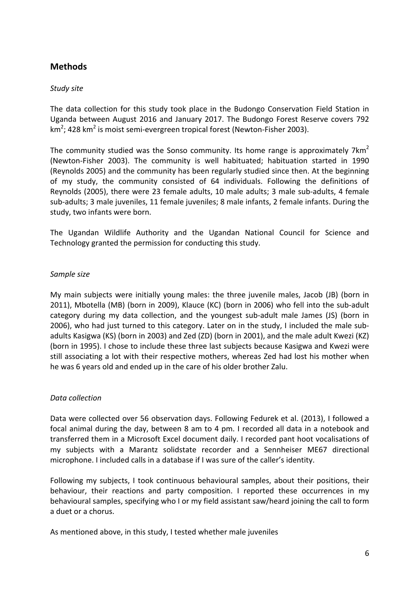## **Methods**

## *Study site*

The data collection for this study took place in the Budongo Conservation Field Station in Uganda between August 2016 and January 2017. The Budongo Forest Reserve covers 792 km $^2$ ; 428 km $^2$  is moist semi-evergreen tropical forest (Newton-Fisher 2003).

The community studied was the Sonso community. Its home range is approximately  $7km^2$ (Newton-Fisher 2003). The community is well habituated; habituation started in 1990 (Reynolds 2005) and the community has been regularly studied since then. At the beginning of my study, the community consisted of 64 individuals. Following the definitions of Reynolds (2005), there were 23 female adults, 10 male adults; 3 male sub-adults, 4 female sub-adults; 3 male juveniles, 11 female juveniles; 8 male infants, 2 female infants. During the study, two infants were born.

The Ugandan Wildlife Authority and the Ugandan National Council for Science and Technology granted the permission for conducting this study.

## *Sample size*

My main subjects were initially young males: the three juvenile males, Jacob (JB) (born in 2011), Mbotella (MB) (born in 2009), Klauce (KC) (born in 2006) who fell into the sub-adult category during my data collection, and the youngest sub-adult male James (JS) (born in 2006), who had just turned to this category. Later on in the study, I included the male subadults Kasigwa (KS) (born in 2003) and Zed (ZD) (born in 2001), and the male adult Kwezi (KZ) (born in 1995). I chose to include these three last subjects because Kasigwa and Kwezi were still associating a lot with their respective mothers, whereas Zed had lost his mother when he was 6 years old and ended up in the care of his older brother Zalu.

## *Data collection*

Data were collected over 56 observation days. Following Fedurek et al. (2013), I followed a focal animal during the day, between 8 am to 4 pm. I recorded all data in a notebook and transferred them in a Microsoft Excel document daily. I recorded pant hoot vocalisations of my subjects with a Marantz solidstate recorder and a Sennheiser ME67 directional microphone. I included calls in a database if I was sure of the caller's identity.

Following my subjects, I took continuous behavioural samples, about their positions, their behaviour, their reactions and party composition. I reported these occurrences in my behavioural samples, specifying who I or my field assistant saw/heard joining the call to form a duet or a chorus.

As mentioned above, in this study, I tested whether male juveniles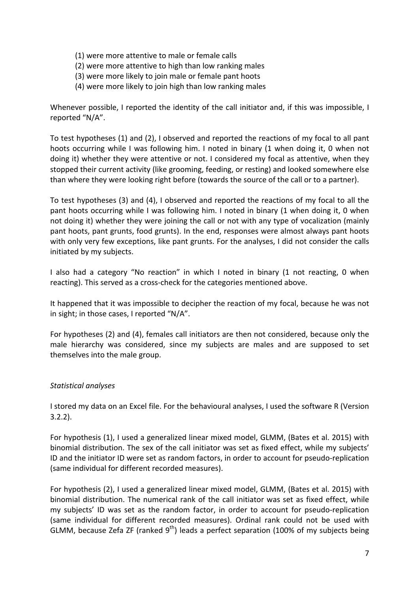- (1) were more attentive to male or female calls
- (2) were more attentive to high than low ranking males
- (3) were more likely to join male or female pant hoots
- (4) were more likely to join high than low ranking males

Whenever possible, I reported the identity of the call initiator and, if this was impossible, I reported "N/A".

To test hypotheses  $(1)$  and  $(2)$ , I observed and reported the reactions of my focal to all pant hoots occurring while I was following him. I noted in binary (1 when doing it, 0 when not doing it) whether they were attentive or not. I considered my focal as attentive, when they stopped their current activity (like grooming, feeding, or resting) and looked somewhere else than where they were looking right before (towards the source of the call or to a partner).

To test hypotheses (3) and (4), I observed and reported the reactions of my focal to all the pant hoots occurring while I was following him. I noted in binary (1 when doing it, 0 when not doing it) whether they were joining the call or not with any type of vocalization (mainly pant hoots, pant grunts, food grunts). In the end, responses were almost always pant hoots with only very few exceptions, like pant grunts. For the analyses, I did not consider the calls initiated by my subjects.

I also had a category "No reaction" in which I noted in binary (1 not reacting, 0 when reacting). This served as a cross-check for the categories mentioned above.

It happened that it was impossible to decipher the reaction of my focal, because he was not in sight; in those cases, I reported "N/A".

For hypotheses (2) and (4), females call initiators are then not considered, because only the male hierarchy was considered, since my subjects are males and are supposed to set themselves into the male group.

## *Statistical analyses*

I stored my data on an Excel file. For the behavioural analyses, I used the software R (Version 3.2.2). 

For hypothesis (1), I used a generalized linear mixed model, GLMM, (Bates et al. 2015) with binomial distribution. The sex of the call initiator was set as fixed effect, while my subjects' ID and the initiator ID were set as random factors, in order to account for pseudo-replication (same individual for different recorded measures).

For hypothesis (2), I used a generalized linear mixed model, GLMM, (Bates et al. 2015) with binomial distribution. The numerical rank of the call initiator was set as fixed effect, while my subjects' ID was set as the random factor, in order to account for pseudo-replication (same individual for different recorded measures). Ordinal rank could not be used with GLMM, because Zefa ZF (ranked  $9<sup>th</sup>$ ) leads a perfect separation (100% of my subjects being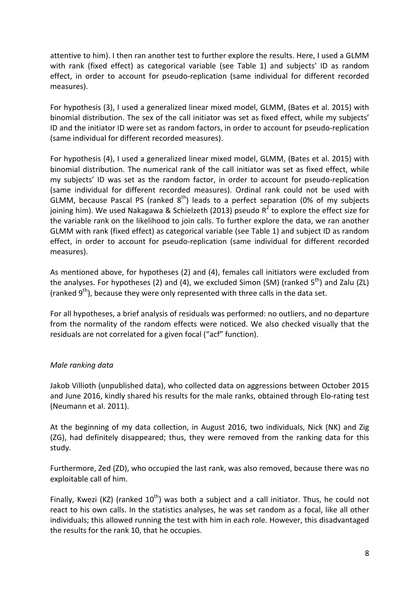attentive to him). I then ran another test to further explore the results. Here, I used a GLMM with rank (fixed effect) as categorical variable (see Table 1) and subjects' ID as random effect, in order to account for pseudo-replication (same individual for different recorded measures).

For hypothesis (3), I used a generalized linear mixed model, GLMM, (Bates et al. 2015) with binomial distribution. The sex of the call initiator was set as fixed effect, while my subjects' ID and the initiator ID were set as random factors, in order to account for pseudo-replication (same individual for different recorded measures).

For hypothesis (4), I used a generalized linear mixed model, GLMM, (Bates et al. 2015) with binomial distribution. The numerical rank of the call initiator was set as fixed effect, while my subjects' ID was set as the random factor, in order to account for pseudo-replication (same individual for different recorded measures). Ordinal rank could not be used with GLMM, because Pascal PS (ranked  $8<sup>th</sup>$ ) leads to a perfect separation (0% of my subjects joining him). We used Nakagawa & Schielzeth (2013) pseudo  $R^2$  to explore the effect size for the variable rank on the likelihood to join calls. To further explore the data, we ran another GLMM with rank (fixed effect) as categorical variable (see Table 1) and subject ID as random effect, in order to account for pseudo-replication (same individual for different recorded measures).

As mentioned above, for hypotheses (2) and (4), females call initiators were excluded from the analyses. For hypotheses (2) and (4), we excluded Simon (SM) (ranked  $5<sup>th</sup>$ ) and Zalu (ZL) (ranked  $9<sup>th</sup>$ ), because they were only represented with three calls in the data set.

For all hypotheses, a brief analysis of residuals was performed: no outliers, and no departure from the normality of the random effects were noticed. We also checked visually that the residuals are not correlated for a given focal ("acf" function).

## *Male ranking data*

Jakob Villioth (unpublished data), who collected data on aggressions between October 2015 and June 2016, kindly shared his results for the male ranks, obtained through Elo-rating test (Neumann et al. 2011).

At the beginning of my data collection, in August 2016, two individuals, Nick (NK) and Zig (ZG), had definitely disappeared; thus, they were removed from the ranking data for this study.

Furthermore, Zed (ZD), who occupied the last rank, was also removed, because there was no exploitable call of him.

Finally, Kwezi (KZ) (ranked  $10^{th}$ ) was both a subject and a call initiator. Thus, he could not react to his own calls. In the statistics analyses, he was set random as a focal, like all other individuals; this allowed running the test with him in each role. However, this disadvantaged the results for the rank 10, that he occupies.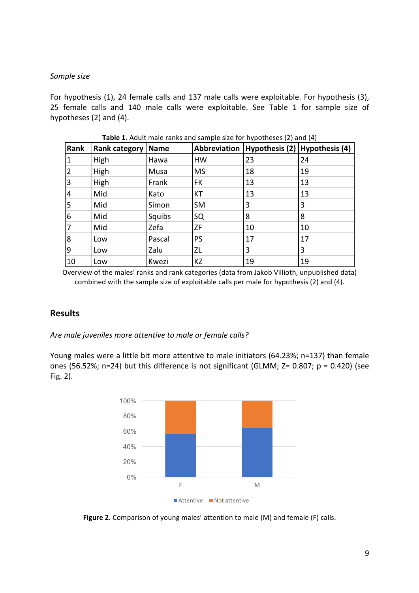#### *Sample size*

For hypothesis (1), 24 female calls and 137 male calls were exploitable. For hypothesis (3), 25 female calls and 140 male calls were exploitable. See Table 1 for sample size of hypotheses  $(2)$  and  $(4)$ .

| Rank | Rank category | Name   | Abbreviation |    | Hypothesis $(2)$ Hypothesis $(4)$ |
|------|---------------|--------|--------------|----|-----------------------------------|
| 1    | High          | Hawa   | HW           | 23 | 24                                |
| 2    | High          | Musa   | <b>MS</b>    | 18 | 19                                |
| 3    | High          | Frank  | <b>FK</b>    | 13 | 13                                |
| 4    | Mid           | Kato   | <b>KT</b>    | 13 | 13                                |
| 5    | Mid           | Simon  | <b>SM</b>    | 3  | 3                                 |
| 6    | Mid           | Squibs | SQ           | 8  | 8                                 |
| 7    | Mid           | Zefa   | <b>ZF</b>    | 10 | 10                                |
| 8    | Low           | Pascal | <b>PS</b>    | 17 | 17                                |
| 9    | Low           | Zalu   | <b>ZL</b>    | 3  | 3                                 |
| 10   | Low           | Kwezi  | KZ           | 19 | 19                                |

**Table 1.** Adult male ranks and sample size for hypotheses (2) and (4)

Overview of the males' ranks and rank categories (data from Jakob Villioth, unpublished data) combined with the sample size of exploitable calls per male for hypothesis (2) and (4).

## **Results**

Are male juveniles more attentive to male or female calls?

Young males were a little bit more attentive to male initiators (64.23%; n=137) than female ones (56.52%; n=24) but this difference is not significant (GLMM;  $Z = 0.807$ ;  $p = 0.420$ ) (see Fig. 2).



Figure 2. Comparison of young males' attention to male (M) and female (F) calls.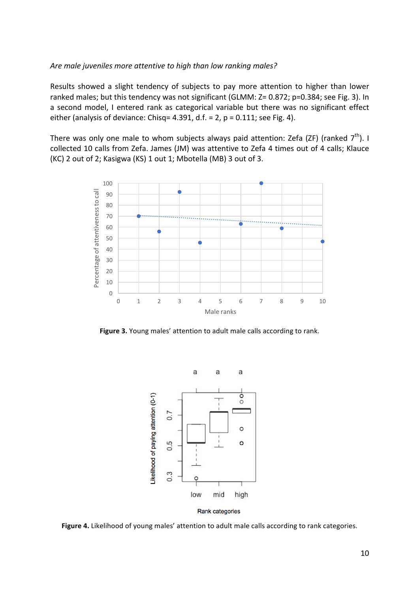#### Are male juveniles more attentive to high than low ranking males?

Results showed a slight tendency of subjects to pay more attention to higher than lower ranked males; but this tendency was not significant (GLMM: Z= 0.872; p=0.384; see Fig. 3). In a second model, I entered rank as categorical variable but there was no significant effect either (analysis of deviance: Chisq= 4.391, d.f. = 2,  $p = 0.111$ ; see Fig. 4).

There was only one male to whom subjects always paid attention: Zefa (ZF) (ranked  $7<sup>th</sup>$ ). I collected 10 calls from Zefa. James (JM) was attentive to Zefa 4 times out of 4 calls; Klauce (KC) 2 out of 2; Kasigwa (KS) 1 out 1; Mbotella (MB) 3 out of 3.



Figure 3. Young males' attention to adult male calls according to rank.



Figure 4. Likelihood of young males' attention to adult male calls according to rank categories.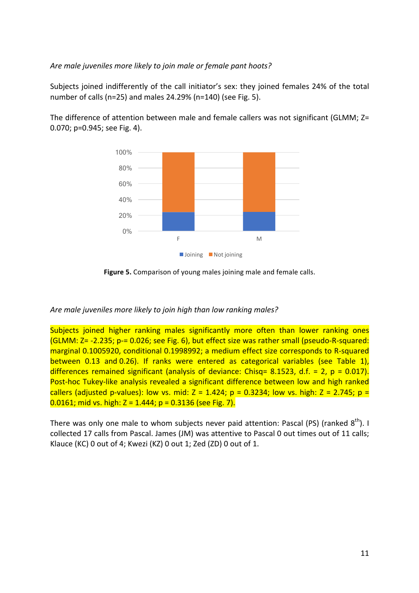#### Are male juveniles more likely to join male or female pant hoots?

Subjects joined indifferently of the call initiator's sex: they joined females 24% of the total number of calls (n=25) and males  $24.29\%$  (n=140) (see Fig. 5).



The difference of attention between male and female callers was not significant (GLMM;  $Z=$  $0.070$ ;  $p=0.945$ ; see Fig. 4).

**Figure 5.** Comparison of young males joining male and female calls.

## Are male juveniles more likely to join high than low ranking males?

Subjects joined higher ranking males significantly more often than lower ranking ones  $(GLMM: Z = -2.235; p = 0.026;$  see Fig. 6), but effect size was rather small (pseudo-R-squared: marginal 0.1005920, conditional 0.1998992; a medium effect size corresponds to R-squared between 0.13 and 0.26). If ranks were entered as categorical variables (see Table 1), differences remained significant (analysis of deviance: Chisq= 8.1523, d.f. = 2,  $p = 0.017$ ). Post-hoc Tukey-like analysis revealed a significant difference between low and high ranked callers (adjusted p-values): low vs. mid:  $Z = 1.424$ ;  $p = 0.3234$ ; low vs. high:  $Z = 2.745$ ;  $p =$  $0.0161$ ; mid vs. high: Z = 1.444; p = 0.3136 (see Fig. 7).

There was only one male to whom subjects never paid attention: Pascal (PS) (ranked  $8<sup>th</sup>$ ). I collected 17 calls from Pascal. James (JM) was attentive to Pascal 0 out times out of 11 calls; Klauce (KC) 0 out of 4; Kwezi (KZ) 0 out 1; Zed (ZD) 0 out of 1.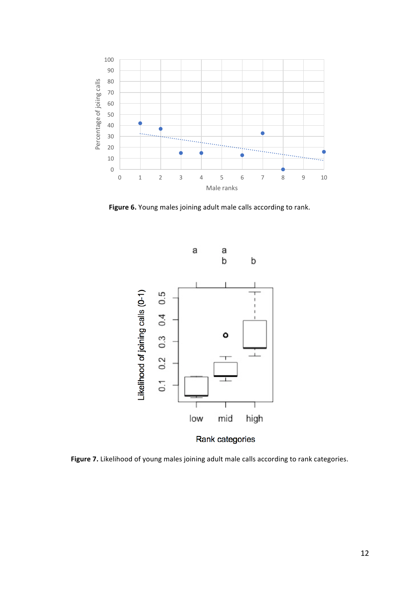

Figure 6. Young males joining adult male calls according to rank.



Figure 7. Likelihood of young males joining adult male calls according to rank categories.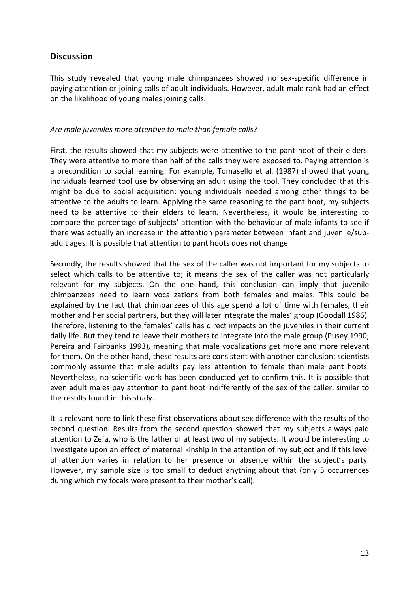## **Discussion**

This study revealed that young male chimpanzees showed no sex-specific difference in paying attention or joining calls of adult individuals. However, adult male rank had an effect on the likelihood of young males joining calls.

#### Are male *juveniles* more attentive to male than *female calls?*

First, the results showed that my subjects were attentive to the pant hoot of their elders. They were attentive to more than half of the calls they were exposed to. Paying attention is a precondition to social learning. For example, Tomasello et al. (1987) showed that young individuals learned tool use by observing an adult using the tool. They concluded that this might be due to social acquisition: young individuals needed among other things to be attentive to the adults to learn. Applying the same reasoning to the pant hoot, my subjects need to be attentive to their elders to learn. Nevertheless, it would be interesting to compare the percentage of subjects' attention with the behaviour of male infants to see if there was actually an increase in the attention parameter between infant and juvenile/subadult ages. It is possible that attention to pant hoots does not change.

Secondly, the results showed that the sex of the caller was not important for my subjects to select which calls to be attentive to; it means the sex of the caller was not particularly relevant for my subjects. On the one hand, this conclusion can imply that juvenile chimpanzees need to learn vocalizations from both females and males. This could be explained by the fact that chimpanzees of this age spend a lot of time with females, their mother and her social partners, but they will later integrate the males' group (Goodall 1986). Therefore, listening to the females' calls has direct impacts on the juveniles in their current daily life. But they tend to leave their mothers to integrate into the male group (Pusey 1990; Pereira and Fairbanks 1993), meaning that male vocalizations get more and more relevant for them. On the other hand, these results are consistent with another conclusion: scientists commonly assume that male adults pay less attention to female than male pant hoots. Nevertheless, no scientific work has been conducted yet to confirm this. It is possible that even adult males pay attention to pant hoot indifferently of the sex of the caller, similar to the results found in this study.

It is relevant here to link these first observations about sex difference with the results of the second question. Results from the second question showed that my subjects always paid attention to Zefa, who is the father of at least two of my subjects. It would be interesting to investigate upon an effect of maternal kinship in the attention of my subject and if this level of attention varies in relation to her presence or absence within the subject's party. However, my sample size is too small to deduct anything about that (only 5 occurrences during which my focals were present to their mother's call).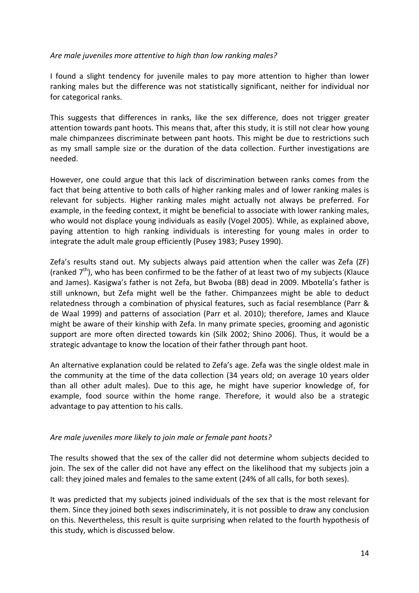#### Are male juveniles more attentive to high than low ranking males?

I found a slight tendency for juvenile males to pay more attention to higher than lower ranking males but the difference was not statistically significant, neither for individual nor for categorical ranks.

This suggests that differences in ranks, like the sex difference, does not trigger greater attention towards pant hoots. This means that, after this study, it is still not clear how young male chimpanzees discriminate between pant hoots. This might be due to restrictions such as my small sample size or the duration of the data collection. Further investigations are needed.

However, one could argue that this lack of discrimination between ranks comes from the fact that being attentive to both calls of higher ranking males and of lower ranking males is relevant for subjects. Higher ranking males might actually not always be preferred. For example, in the feeding context, it might be beneficial to associate with lower ranking males, who would not displace voung individuals as easily (Vogel 2005). While, as explained above, paying attention to high ranking individuals is interesting for young males in order to integrate the adult male group efficiently (Pusey 1983; Pusey 1990).

Zefa's results stand out. My subjects always paid attention when the caller was Zefa (ZF) (ranked  $7<sup>th</sup>$ ), who has been confirmed to be the father of at least two of my subjects (Klauce and James). Kasigwa's father is not Zefa, but Bwoba (BB) dead in 2009. Mbotella's father is still unknown, but Zefa might well be the father. Chimpanzees might be able to deduct relatedness through a combination of physical features, such as facial resemblance (Parr & de Waal 1999) and patterns of association (Parr et al. 2010); therefore, James and Klauce might be aware of their kinship with Zefa. In many primate species, grooming and agonistic support are more often directed towards kin (Silk 2002; Shino 2006). Thus, it would be a strategic advantage to know the location of their father through pant hoot.

An alternative explanation could be related to Zefa's age. Zefa was the single oldest male in the community at the time of the data collection (34 years old; on average 10 years older than all other adult males). Due to this age, he might have superior knowledge of, for example, food source within the home range. Therefore, it would also be a strategic advantage to pay attention to his calls.

## Are male juveniles more likely to join male or female pant hoots?

The results showed that the sex of the caller did not determine whom subjects decided to join. The sex of the caller did not have any effect on the likelihood that my subjects join a call: they joined males and females to the same extent (24% of all calls, for both sexes).

It was predicted that my subjects joined individuals of the sex that is the most relevant for them. Since they joined both sexes indiscriminately, it is not possible to draw any conclusion on this. Nevertheless, this result is quite surprising when related to the fourth hypothesis of this study, which is discussed below.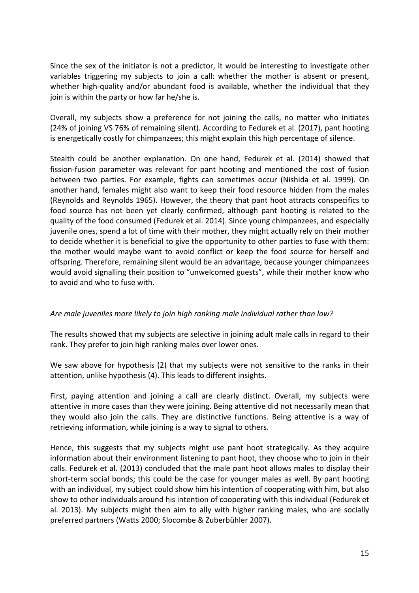Since the sex of the initiator is not a predictor, it would be interesting to investigate other variables triggering my subjects to join a call: whether the mother is absent or present, whether high-quality and/or abundant food is available, whether the individual that they join is within the party or how far he/she is.

Overall, my subjects show a preference for not joining the calls, no matter who initiates (24% of joining VS 76% of remaining silent). According to Fedurek et al. (2017), pant hooting is energetically costly for chimpanzees; this might explain this high percentage of silence.

Stealth could be another explanation. On one hand, Fedurek et al. (2014) showed that fission-fusion parameter was relevant for pant hooting and mentioned the cost of fusion between two parties. For example, fights can sometimes occur (Nishida et al. 1999). On another hand, females might also want to keep their food resource hidden from the males (Reynolds and Reynolds 1965). However, the theory that pant hoot attracts conspecifics to food source has not been yet clearly confirmed, although pant hooting is related to the quality of the food consumed (Fedurek et al. 2014). Since young chimpanzees, and especially juvenile ones, spend a lot of time with their mother, they might actually rely on their mother to decide whether it is beneficial to give the opportunity to other parties to fuse with them: the mother would maybe want to avoid conflict or keep the food source for herself and offspring. Therefore, remaining silent would be an advantage, because younger chimpanzees would avoid signalling their position to "unwelcomed guests", while their mother know who to avoid and who to fuse with.

## Are male juveniles more likely to join high ranking male individual rather than low?

The results showed that my subjects are selective in joining adult male calls in regard to their rank. They prefer to join high ranking males over lower ones.

We saw above for hypothesis (2) that my subjects were not sensitive to the ranks in their attention, unlike hypothesis (4). This leads to different insights.

First, paying attention and joining a call are clearly distinct. Overall, my subjects were attentive in more cases than they were joining. Being attentive did not necessarily mean that they would also join the calls. They are distinctive functions. Being attentive is a way of retrieving information, while joining is a way to signal to others.

Hence, this suggests that my subjects might use pant hoot strategically. As they acquire information about their environment listening to pant hoot, they choose who to join in their calls. Fedurek et al. (2013) concluded that the male pant hoot allows males to display their short-term social bonds; this could be the case for younger males as well. By pant hooting with an individual, my subject could show him his intention of cooperating with him, but also show to other individuals around his intention of cooperating with this individual (Fedurek et al. 2013). My subjects might then aim to ally with higher ranking males, who are socially preferred partners (Watts 2000; Slocombe & Zuberbühler 2007).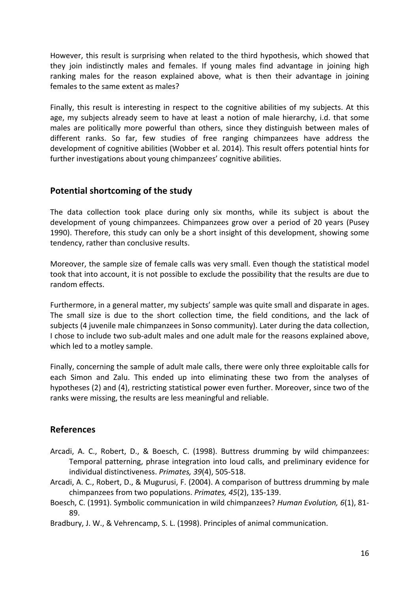However, this result is surprising when related to the third hypothesis, which showed that they join indistinctly males and females. If young males find advantage in joining high ranking males for the reason explained above, what is then their advantage in joining females to the same extent as males?

Finally, this result is interesting in respect to the cognitive abilities of my subjects. At this age, my subjects already seem to have at least a notion of male hierarchy, i.d. that some males are politically more powerful than others, since they distinguish between males of different ranks. So far, few studies of free ranging chimpanzees have address the development of cognitive abilities (Wobber et al. 2014). This result offers potential hints for further investigations about young chimpanzees' cognitive abilities.

## **Potential shortcoming of the study**

The data collection took place during only six months, while its subject is about the development of young chimpanzees. Chimpanzees grow over a period of 20 years (Pusey 1990). Therefore, this study can only be a short insight of this development, showing some tendency, rather than conclusive results.

Moreover, the sample size of female calls was very small. Even though the statistical model took that into account, it is not possible to exclude the possibility that the results are due to random effects.

Furthermore, in a general matter, my subjects' sample was quite small and disparate in ages. The small size is due to the short collection time, the field conditions, and the lack of subjects (4 juvenile male chimpanzees in Sonso community). Later during the data collection, I chose to include two sub-adult males and one adult male for the reasons explained above, which led to a motley sample.

Finally, concerning the sample of adult male calls, there were only three exploitable calls for each Simon and Zalu. This ended up into eliminating these two from the analyses of hypotheses (2) and (4), restricting statistical power even further. Moreover, since two of the ranks were missing, the results are less meaningful and reliable.

## **References**

- Arcadi, A. C., Robert, D., & Boesch, C. (1998). Buttress drumming by wild chimpanzees: Temporal patterning, phrase integration into loud calls, and preliminary evidence for individual distinctiveness. *Primates, 39*(4), 505-518.
- Arcadi, A. C., Robert, D., & Mugurusi, F. (2004). A comparison of buttress drumming by male chimpanzees from two populations. *Primates, 45*(2), 135-139.
- Boesch, C. (1991). Symbolic communication in wild chimpanzees? *Human Evolution, 6*(1), 81-89.
- Bradbury, J. W., & Vehrencamp, S. L. (1998). Principles of animal communication.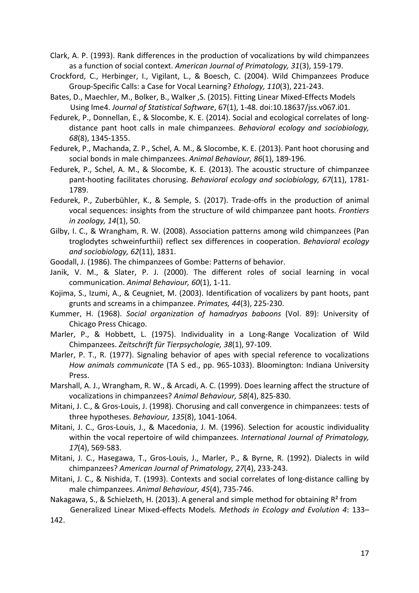- Clark, A. P. (1993). Rank differences in the production of vocalizations by wild chimpanzees as a function of social context. American Journal of Primatology, 31(3), 159-179.
- Crockford, C., Herbinger, I., Vigilant, L., & Boesch, C. (2004). Wild Chimpanzees Produce Group-Specific Calls: a Case for Vocal Learning? *Ethology, 110*(3), 221-243.
- Bates, D., Maechler, M., Bolker, B., Walker, S. (2015). Fitting Linear Mixed-Effects Models Using Ime4. *Journal of Statistical Software*, 67(1), 1-48. doi:10.18637/jss.v067.i01.
- Fedurek, P., Donnellan, E., & Slocombe, K. E. (2014). Social and ecological correlates of longdistance pant hoot calls in male chimpanzees. *Behavioral ecology and sociobiology*, *68*(8), 1345-1355.
- Fedurek, P., Machanda, Z. P., Schel, A. M., & Slocombe, K. E. (2013). Pant hoot chorusing and social bonds in male chimpanzees. Animal Behaviour, 86(1), 189-196.
- Fedurek, P., Schel, A. M., & Slocombe, K. E. (2013). The acoustic structure of chimpanzee pant-hooting facilitates chorusing. Behavioral ecology and sociobiology, 67(11), 1781-1789.
- Fedurek, P., Zuberbühler, K., & Semple, S. (2017). Trade-offs in the production of animal vocal sequences: insights from the structure of wild chimpanzee pant hoots. *Frontiers in zoology, 14*(1), 50.
- Gilby, I. C., & Wrangham, R. W. (2008). Association patterns among wild chimpanzees (Pan troglodytes schweinfurthii) reflect sex differences in cooperation. *Behavioral ecology* and sociobiology, 62(11), 1831.
- Goodall, J. (1986). The chimpanzees of Gombe: Patterns of behavior.
- Janik, V. M., & Slater, P. J. (2000). The different roles of social learning in vocal communication. Animal Behaviour, 60(1), 1-11.
- Kojima, S., Izumi, A., & Ceugniet, M. (2003). Identification of vocalizers by pant hoots, pant grunts and screams in a chimpanzee. *Primates, 44*(3), 225-230.
- Kummer, H. (1968). Social organization of hamadryas baboons (Vol. 89): University of Chicago Press Chicago.
- Marler, P., & Hobbett, L. (1975). Individuality in a Long-Range Vocalization of Wild Chimpanzees. *Zeitschrift für Tierpsychologie, 38*(1), 97-109.
- Marler, P. T., R. (1977). Signaling behavior of apes with special reference to vocalizations *How animals communicate* (TA S ed., pp. 965-1033). Bloomington: Indiana University Press.
- Marshall, A. J., Wrangham, R. W., & Arcadi, A. C. (1999). Does learning affect the structure of vocalizations in chimpanzees? Animal Behaviour, 58(4), 825-830.
- Mitani, J. C., & Gros-Louis, J. (1998). Chorusing and call convergence in chimpanzees: tests of three hypotheses. *Behaviour, 135*(8), 1041-1064.
- Mitani, J. C., Gros-Louis, J., & Macedonia, J. M. (1996). Selection for acoustic individuality within the vocal repertoire of wild chimpanzees. *International Journal of Primatology*, *17*(4), 569-583.
- Mitani, J. C., Hasegawa, T., Gros-Louis, J., Marler, P., & Byrne, R. (1992). Dialects in wild chimpanzees? *American Journal of Primatology, 27*(4), 233-243.
- Mitani, J. C., & Nishida, T. (1993). Contexts and social correlates of long-distance calling by male chimpanzees. Animal Behaviour, 45(4), 735-746.
- Nakagawa, S., & Schielzeth, H. (2013). A general and simple method for obtaining  $R^2$  from Generalized Linear Mixed-effects Models. Methods in Ecology and Evolution 4: 133– 142.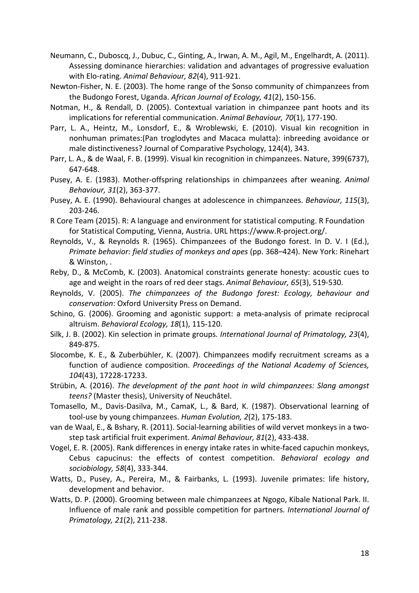- Neumann, C., Duboscq, J., Dubuc, C., Ginting, A., Irwan, A. M., Agil, M., Engelhardt, A. (2011). Assessing dominance hierarchies: validation and advantages of progressive evaluation with Elo-rating. Animal Behaviour, 82(4), 911-921.
- Newton-Fisher, N. E. (2003). The home range of the Sonso community of chimpanzees from the Budongo Forest, Uganda. African Journal of Ecology, 41(2), 150-156.
- Notman, H., & Rendall, D. (2005). Contextual variation in chimpanzee pant hoots and its implications for referential communication. Animal Behaviour, 70(1), 177-190.
- Parr, L. A., Heintz, M., Lonsdorf, E., & Wroblewski, E. (2010). Visual kin recognition in nonhuman primates:(Pan troglodytes and Macaca mulatta): inbreeding avoidance or male distinctiveness? Journal of Comparative Psychology, 124(4), 343.
- Parr, L. A., & de Waal, F. B. (1999). Visual kin recognition in chimpanzees. Nature, 399(6737), 647-648.
- Pusey, A. E. (1983). Mother-offspring relationships in chimpanzees after weaning. Animal *Behaviour, 31*(2), 363-377.
- Pusey, A. E. (1990). Behavioural changes at adolescence in chimpanzees. *Behaviour, 115*(3), 203-246.
- R Core Team (2015). R: A language and environment for statistical computing. R Foundation for Statistical Computing, Vienna, Austria. URL https://www.R-project.org/.
- Reynolds, V., & Reynolds R. (1965). Chimpanzees of the Budongo forest. In D. V. I (Ed.), *Primate behavior: field studies of monkeys and apes (pp. 368–424).* New York: Rinehart & Winston, .
- Reby, D., & McComb, K. (2003). Anatomical constraints generate honesty: acoustic cues to age and weight in the roars of red deer stags. Animal Behaviour, 65(3), 519-530.
- Reynolds, V. (2005). The chimpanzees of the Budongo forest: Ecology, behaviour and *conservation*: Oxford University Press on Demand.
- Schino, G. (2006). Grooming and agonistic support: a meta-analysis of primate reciprocal altruism. *Behavioral Ecology, 18*(1), 115-120.
- Silk, J. B. (2002). Kin selection in primate groups. *International Journal of Primatology, 23*(4), 849-875.
- Slocombe, K. E., & Zuberbühler, K. (2007). Chimpanzees modify recruitment screams as a function of audience composition. Proceedings of the National Academy of Sciences, *104*(43), 17228-17233.
- Strübin, A. (2016). *The development of the pant hoot in wild chimpanzees: Slang amongst* teens? (Master thesis), University of Neuchâtel.
- Tomasello, M., Davis-Dasilva, M., CamaK, L., & Bard, K. (1987). Observational learning of tool-use by young chimpanzees. Human Evolution, 2(2), 175-183.
- van de Waal, E., & Bshary, R. (2011). Social-learning abilities of wild vervet monkeys in a twostep task artificial fruit experiment. Animal Behaviour, 81(2), 433-438.
- Vogel, E. R. (2005). Rank differences in energy intake rates in white-faced capuchin monkeys, Cebus capucinus: the effects of contest competition. *Behavioral ecology and sociobiology, 58*(4), 333-344.
- Watts, D., Pusey, A., Pereira, M., & Fairbanks, L. (1993). Juvenile primates: life history, development and behavior.
- Watts, D. P. (2000). Grooming between male chimpanzees at Ngogo, Kibale National Park. II. Influence of male rank and possible competition for partners. *International Journal of Primatology, 21*(2), 211-238.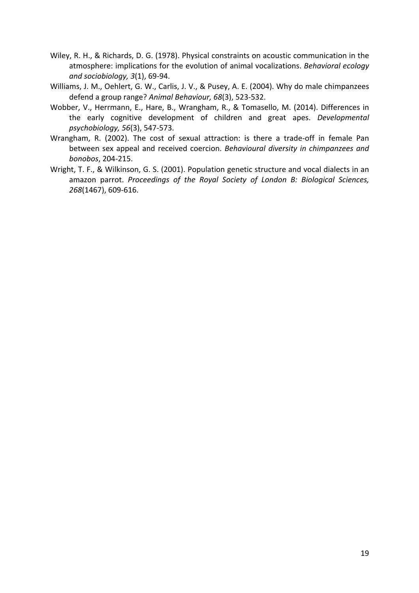- Wiley, R. H., & Richards, D. G. (1978). Physical constraints on acoustic communication in the atmosphere: implications for the evolution of animal vocalizations. *Behavioral ecology and sociobiology, 3*(1), 69-94.
- Williams, J. M., Oehlert, G. W., Carlis, J. V., & Pusey, A. E. (2004). Why do male chimpanzees defend a group range? Animal Behaviour, 68(3), 523-532.
- Wobber, V., Herrmann, E., Hare, B., Wrangham, R., & Tomasello, M. (2014). Differences in the early cognitive development of children and great apes. *Developmental psychobiology, 56*(3), 547-573.
- Wrangham, R. (2002). The cost of sexual attraction: is there a trade-off in female Pan between sex appeal and received coercion. Behavioural diversity in chimpanzees and *bonobos*, 204-215.
- Wright, T. F., & Wilkinson, G. S. (2001). Population genetic structure and vocal dialects in an amazon parrot. Proceedings of the Royal Society of London B: Biological Sciences, 268(1467), 609-616.